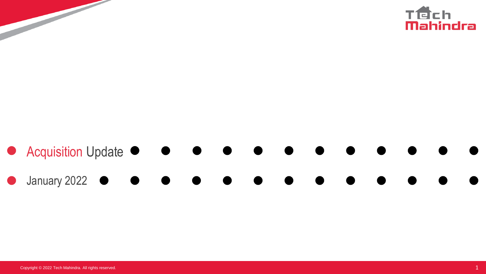

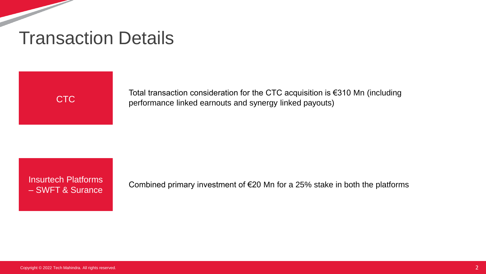## Transaction Details

Total transaction consideration for the CTC acquisition is €310 Mn (including performance linked earnouts and synergy linked payouts)

– SWFT & Surance

Insurtech Platforms<br>
Combined primary investment of  $\epsilon$ 20 Mn for a 25% stake in both the platforms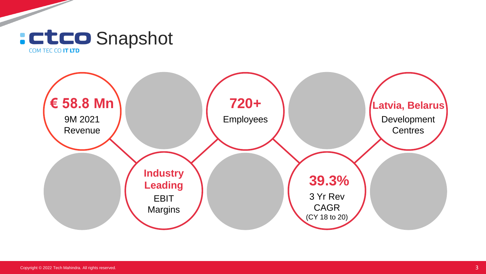

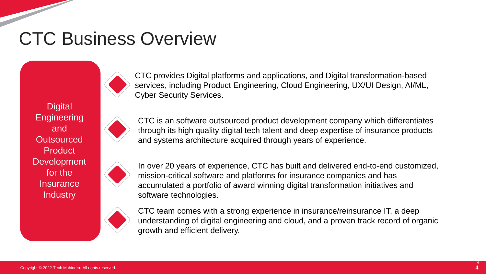## CTC Business Overview

**Digital Engineering** and **Outsourced Product Development** for the **Insurance Industry** 



CTC provides Digital platforms and applications, and Digital transformation-based services, including Product Engineering, Cloud Engineering, UX/UI Design, AI/ML, Cyber Security Services.

CTC is an software outsourced product development company which differentiates through its high quality digital tech talent and deep expertise of insurance products and systems architecture acquired through years of experience.

In over 20 years of experience, CTC has built and delivered end-to-end customized, mission-critical software and platforms for insurance companies and has accumulated a portfolio of award winning digital transformation initiatives and software technologies.

CTC team comes with a strong experience in insurance/reinsurance IT, a deep understanding of digital engineering and cloud, and a proven track record of organic growth and efficient delivery.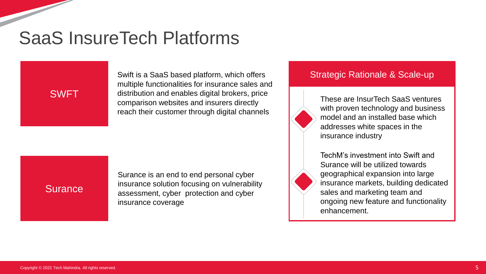## SaaS InsureTech Platforms

#### SWFT

Swift is a SaaS based platform, which offers multiple functionalities for insurance sales and distribution and enables digital brokers, price comparison websites and insurers directly reach their customer through digital channels

### **Surance**

Surance is an end to end personal cyber insurance solution focusing on vulnerability assessment, cyber protection and cyber insurance coverage

#### Strategic Rationale & Scale-up

These are InsurTech SaaS ventures with proven technology and business model and an installed base which addresses white spaces in the insurance industry

TechM's investment into Swift and Surance will be utilized towards geographical expansion into large insurance markets, building dedicated sales and marketing team and ongoing new feature and functionality enhancement.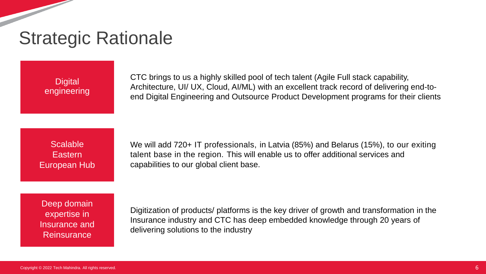## Strategic Rationale

**Digital** engineering CTC brings to us a highly skilled pool of tech talent (Agile Full stack capability, Architecture, UI/ UX, Cloud, AI/ML) with an excellent track record of delivering end-toend Digital Engineering and Outsource Product Development programs for their clients

Scalable **Eastern** European Hub

We will add 720+ IT professionals, in Latvia (85%) and Belarus (15%), to our exiting talent base in the region. This will enable us to offer additional services and capabilities to our global client base.

Deep domain expertise in Insurance and Reinsurance

Digitization of products/ platforms is the key driver of growth and transformation in the Insurance industry and CTC has deep embedded knowledge through 20 years of delivering solutions to the industry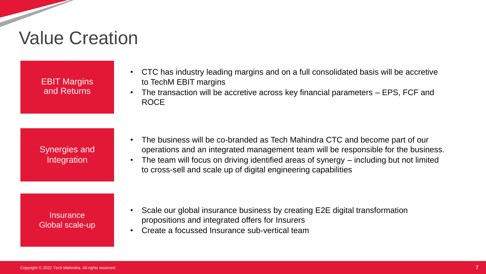## Value Creation

EBIT Margins and Returns

- CTC has industry leading margins and on a full consolidated basis will be accretive to TechM EBIT margins
- The transaction will be accretive across key financial parameters EPS, FCF and ROCE

Synergies and **Integration** 

- The business will be co-branded as Tech Mahindra CTC and become part of our operations and an integrated management team will be responsible for the business.
- The team will focus on driving identified areas of synergy including but not limited to cross-sell and scale up of digital engineering capabilities

**Insurance** Global scale-up

- Scale our global insurance business by creating E2E digital transformation propositions and integrated offers for Insurers
- Create a focussed Insurance sub-vertical team